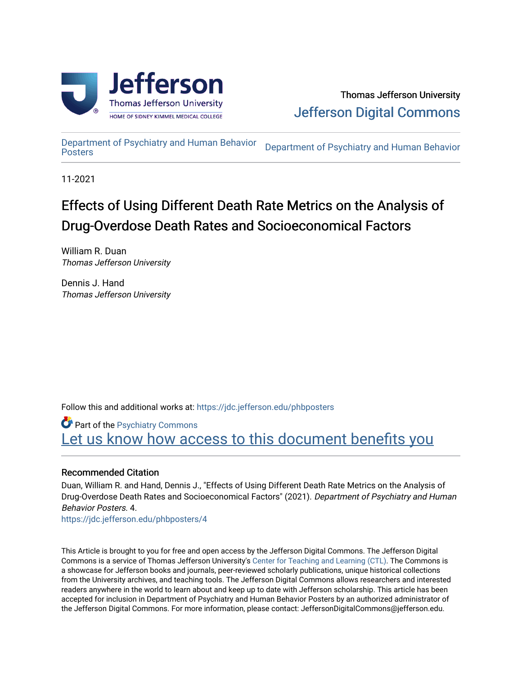

[Department of Psychiatry and Human Behavior](https://jdc.jefferson.edu/phbposters) 

Department of Psychiatry and Human Behavior

11-2021

#### Effects of Using Different Death Rate Metrics on the Analysis of Drug-Overdose Death Rates and Socioeconomical Factors

William R. Duan Thomas Jefferson University

Dennis J. Hand Thomas Jefferson University

Follow this and additional works at: [https://jdc.jefferson.edu/phbposters](https://jdc.jefferson.edu/phbposters?utm_source=jdc.jefferson.edu%2Fphbposters%2F4&utm_medium=PDF&utm_campaign=PDFCoverPages)

Part of the [Psychiatry Commons](http://network.bepress.com/hgg/discipline/704?utm_source=jdc.jefferson.edu%2Fphbposters%2F4&utm_medium=PDF&utm_campaign=PDFCoverPages)  Let us know how access to this document benefits you

#### Recommended Citation

Duan, William R. and Hand, Dennis J., "Effects of Using Different Death Rate Metrics on the Analysis of Drug-Overdose Death Rates and Socioeconomical Factors" (2021). Department of Psychiatry and Human Behavior Posters. 4.

[https://jdc.jefferson.edu/phbposters/4](https://jdc.jefferson.edu/phbposters/4?utm_source=jdc.jefferson.edu%2Fphbposters%2F4&utm_medium=PDF&utm_campaign=PDFCoverPages) 

This Article is brought to you for free and open access by the Jefferson Digital Commons. The Jefferson Digital Commons is a service of Thomas Jefferson University's [Center for Teaching and Learning \(CTL\)](http://www.jefferson.edu/university/teaching-learning.html/). The Commons is a showcase for Jefferson books and journals, peer-reviewed scholarly publications, unique historical collections from the University archives, and teaching tools. The Jefferson Digital Commons allows researchers and interested readers anywhere in the world to learn about and keep up to date with Jefferson scholarship. This article has been accepted for inclusion in Department of Psychiatry and Human Behavior Posters by an authorized administrator of the Jefferson Digital Commons. For more information, please contact: JeffersonDigitalCommons@jefferson.edu.